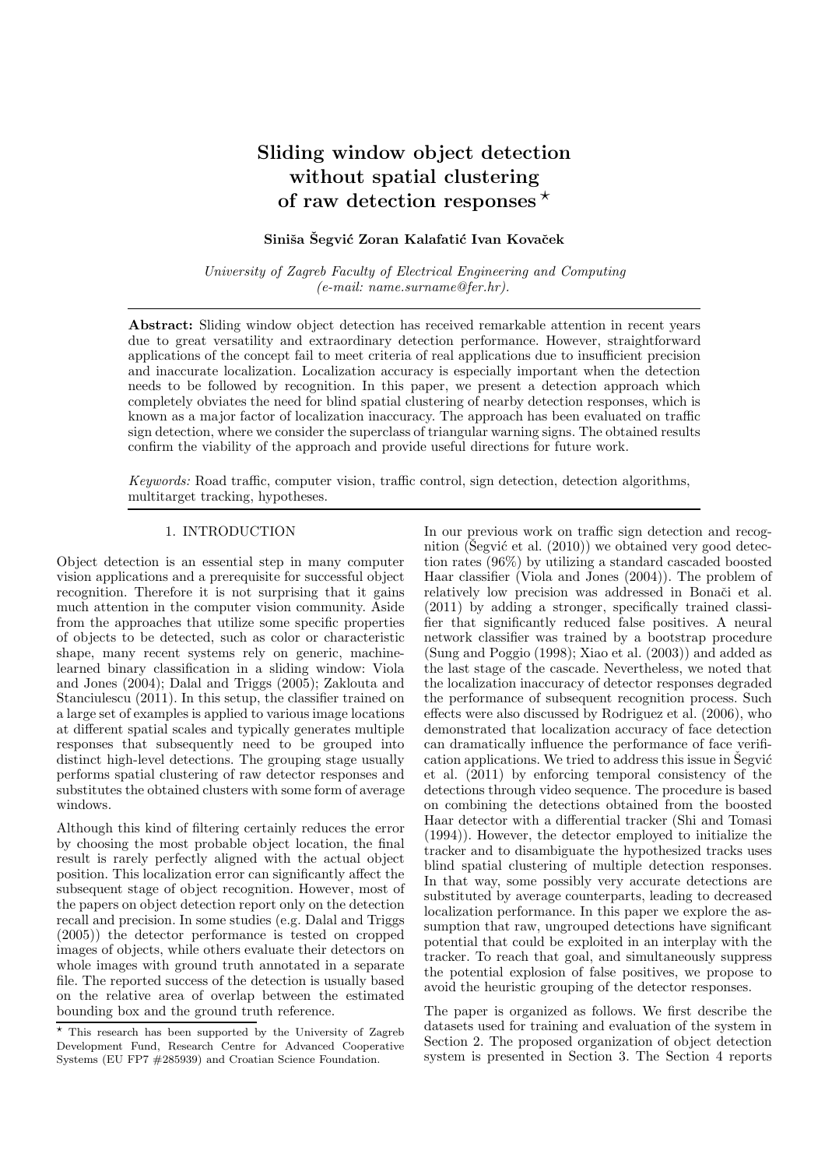# Sliding window object detection without spatial clustering of raw detection responses  $\star$

# Siniša Šegvić Zoran Kalafatić Ivan Kovaček

*University of Zagreb Faculty of Electrical Engineering and Computing (e-mail: name.surname@fer.hr).*

Abstract: Sliding window object detection has received remarkable attention in recent years due to great versatility and extraordinary detection performance. However, straightforward applications of the concept fail to meet criteria of real applications due to insufficient precision and inaccurate localization. Localization accuracy is especially important when the detection needs to be followed by recognition. In this paper, we present a detection approach which completely obviates the need for blind spatial clustering of nearby detection responses, which is known as a major factor of localization inaccuracy. The approach has been evaluated on traffic sign detection, where we consider the superclass of triangular warning signs. The obtained results confirm the viability of the approach and provide useful directions for future work.

*Keywords:* Road traffic, computer vision, traffic control, sign detection, detection algorithms, multitarget tracking, hypotheses.

## 1. INTRODUCTION

Object detection is an essential step in many computer vision applications and a prerequisite for successful object recognition. Therefore it is not surprising that it gains much attention in the computer vision community. Aside from the approaches that utilize some specific properties of objects to be detected, such as color or characteristic shape, many recent systems rely on generic, machinelearned binary classification in a sliding window: Viola and Jones (2004); Dalal and Triggs (2005); Zaklouta and Stanciulescu (2011). In this setup, the classifier trained on a large set of examples is applied to various image locations at different spatial scales and typically generates multiple responses that subsequently need to be grouped into distinct high-level detections. The grouping stage usually performs spatial clustering of raw detector responses and substitutes the obtained clusters with some form of average windows.

Although this kind of filtering certainly reduces the error by choosing the most probable object location, the final result is rarely perfectly aligned with the actual object position. This localization error can significantly affect the subsequent stage of object recognition. However, most of the papers on object detection report only on the detection recall and precision. In some studies (e.g. Dalal and Triggs (2005)) the detector performance is tested on cropped images of objects, while others evaluate their detectors on whole images with ground truth annotated in a separate file. The reported success of the detection is usually based on the relative area of overlap between the estimated bounding box and the ground truth reference.

In our previous work on traffic sign detection and recognition (Segvić et al.  $(2010)$ ) we obtained very good detection rates (96%) by utilizing a standard cascaded boosted Haar classifier (Viola and Jones (2004)). The problem of relatively low precision was addressed in Bonači et al. (2011) by adding a stronger, specifically trained classifier that significantly reduced false positives. A neural network classifier was trained by a bootstrap procedure (Sung and Poggio (1998); Xiao et al. (2003)) and added as the last stage of the cascade. Nevertheless, we noted that the localization inaccuracy of detector responses degraded the performance of subsequent recognition process. Such effects were also discussed by Rodriguez et al. (2006), who demonstrated that localization accuracy of face detection can dramatically influence the performance of face verification applications. We tried to address this issue in Šegvić et al. (2011) by enforcing temporal consistency of the detections through video sequence. The procedure is based on combining the detections obtained from the boosted Haar detector with a differential tracker (Shi and Tomasi (1994)). However, the detector employed to initialize the tracker and to disambiguate the hypothesized tracks uses blind spatial clustering of multiple detection responses. In that way, some possibly very accurate detections are substituted by average counterparts, leading to decreased localization performance. In this paper we explore the assumption that raw, ungrouped detections have significant potential that could be exploited in an interplay with the tracker. To reach that goal, and simultaneously suppress the potential explosion of false positives, we propose to avoid the heuristic grouping of the detector responses.

The paper is organized as follows. We first describe the datasets used for training and evaluation of the system in Section 2. The proposed organization of object detection system is presented in Section 3. The Section 4 reports

<sup>⋆</sup> This research has been supported by the University of Zagreb Development Fund, Research Centre for Advanced Cooperative Systems (EU FP7 #285939) and Croatian Science Foundation.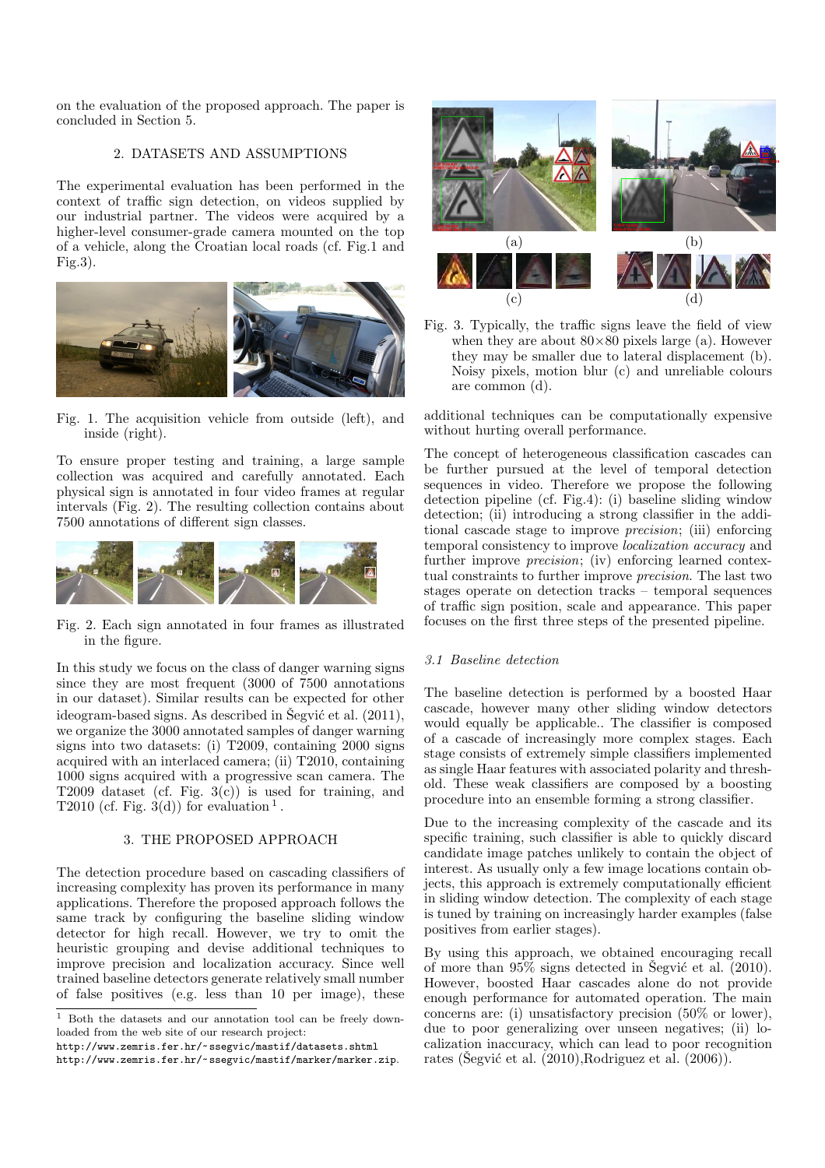on the evaluation of the proposed approach. The paper is concluded in Section 5.

## 2. DATASETS AND ASSUMPTIONS

The experimental evaluation has been performed in the context of traffic sign detection, on videos supplied by our industrial partner. The videos were acquired by a higher-level consumer-grade camera mounted on the top of a vehicle, along the Croatian local roads (cf. Fig.1 and Fig.3).



Fig. 1. The acquisition vehicle from outside (left), and inside (right).

To ensure proper testing and training, a large sample collection was acquired and carefully annotated. Each physical sign is annotated in four video frames at regular intervals (Fig. 2). The resulting collection contains about 7500 annotations of different sign classes.



Fig. 2. Each sign annotated in four frames as illustrated in the figure.

In this study we focus on the class of danger warning signs since they are most frequent (3000 of 7500 annotations in our dataset). Similar results can be expected for other ideogram-based signs. As described in Šegvić et al.  $(2011)$ , we organize the 3000 annotated samples of danger warning signs into two datasets: (i) T2009, containing 2000 signs acquired with an interlaced camera; (ii) T2010, containing 1000 signs acquired with a progressive scan camera. The T2009 dataset (cf. Fig. 3(c)) is used for training, and T2010 (cf. Fig.  $3(d)$ ) for evaluation<sup>1</sup>.

#### 3. THE PROPOSED APPROACH

The detection procedure based on cascading classifiers of increasing complexity has proven its performance in many applications. Therefore the proposed approach follows the same track by configuring the baseline sliding window detector for high recall. However, we try to omit the heuristic grouping and devise additional techniques to improve precision and localization accuracy. Since well trained baseline detectors generate relatively small number of false positives (e.g. less than 10 per image), these



Fig. 3. Typically, the traffic signs leave the field of view when they are about  $80\times80$  pixels large (a). However they may be smaller due to lateral displacement (b). Noisy pixels, motion blur (c) and unreliable colours are common (d).

additional techniques can be computationally expensive without hurting overall performance.

The concept of heterogeneous classification cascades can be further pursued at the level of temporal detection sequences in video. Therefore we propose the following detection pipeline (cf. Fig.4): (i) baseline sliding window detection; (ii) introducing a strong classifier in the additional cascade stage to improve *precision*; (iii) enforcing temporal consistency to improve *localization accuracy* and further improve *precision*; (iv) enforcing learned contextual constraints to further improve *precision*. The last two stages operate on detection tracks – temporal sequences of traffic sign position, scale and appearance. This paper focuses on the first three steps of the presented pipeline.

#### *3.1 Baseline detection*

The baseline detection is performed by a boosted Haar cascade, however many other sliding window detectors would equally be applicable.. The classifier is composed of a cascade of increasingly more complex stages. Each stage consists of extremely simple classifiers implemented as single Haar features with associated polarity and threshold. These weak classifiers are composed by a boosting procedure into an ensemble forming a strong classifier.

Due to the increasing complexity of the cascade and its specific training, such classifier is able to quickly discard candidate image patches unlikely to contain the object of interest. As usually only a few image locations contain objects, this approach is extremely computationally efficient in sliding window detection. The complexity of each stage is tuned by training on increasingly harder examples (false positives from earlier stages).

By using this approach, we obtained encouraging recall of more than  $95\%$  signs detected in Segvić et al. (2010). However, boosted Haar cascades alone do not provide enough performance for automated operation. The main concerns are: (i) unsatisfactory precision (50% or lower), due to poor generalizing over unseen negatives; (ii) localization inaccuracy, which can lead to poor recognition rates (Šegvić et al.  $(2010)$ ,Rodriguez et al.  $(2006)$ ).

<sup>1</sup> Both the datasets and our annotation tool can be freely downloaded from the web site of our research project:

http://www.zemris.fer.hr/~ssegvic/mastif/datasets.shtml

http://www.zemris.fer.hr/~ssegvic/mastif/marker/marker.zip.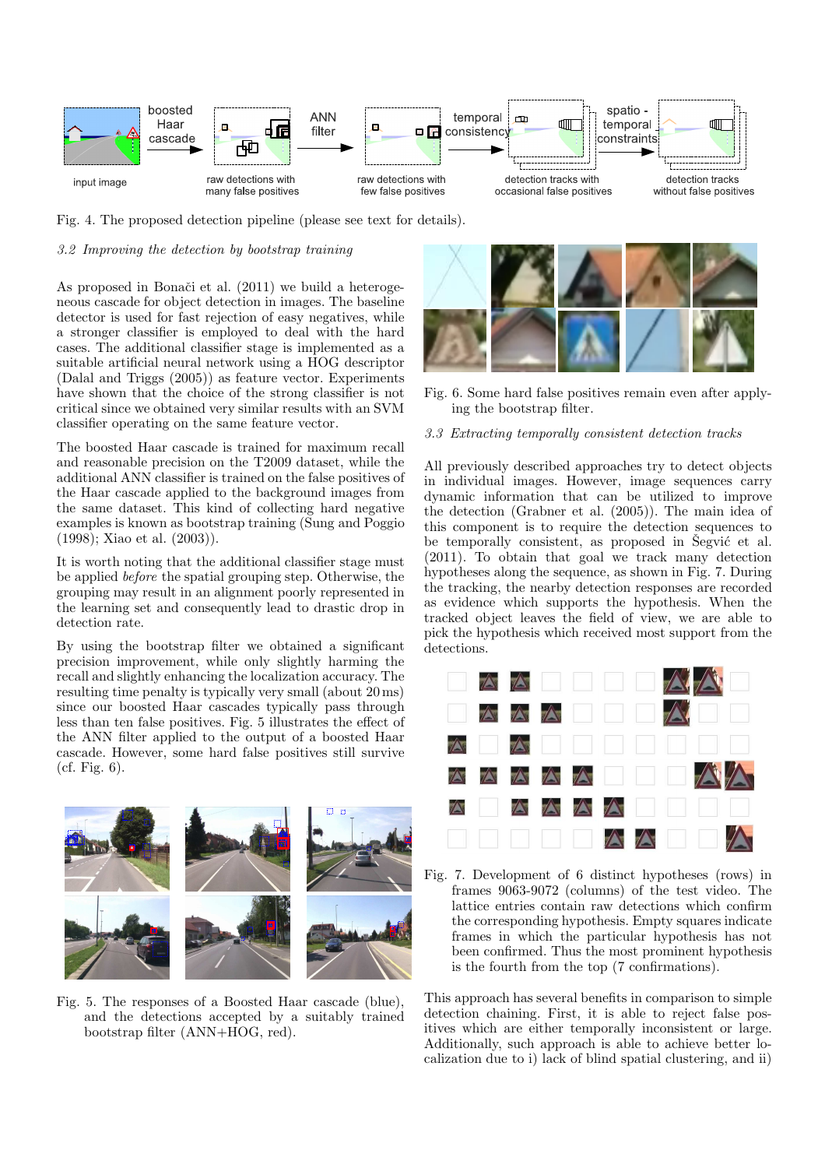

Fig. 4. The proposed detection pipeline (please see text for details).

# *3.2 Improving the detection by bootstrap training*

As proposed in Bonači et al. (2011) we build a heterogeneous cascade for object detection in images. The baseline detector is used for fast rejection of easy negatives, while a stronger classifier is employed to deal with the hard cases. The additional classifier stage is implemented as a suitable artificial neural network using a HOG descriptor (Dalal and Triggs (2005)) as feature vector. Experiments have shown that the choice of the strong classifier is not critical since we obtained very similar results with an SVM classifier operating on the same feature vector.

The boosted Haar cascade is trained for maximum recall and reasonable precision on the T2009 dataset, while the additional ANN classifier is trained on the false positives of the Haar cascade applied to the background images from the same dataset. This kind of collecting hard negative examples is known as bootstrap training (Sung and Poggio (1998); Xiao et al. (2003)).

It is worth noting that the additional classifier stage must be applied *before* the spatial grouping step. Otherwise, the grouping may result in an alignment poorly represented in the learning set and consequently lead to drastic drop in detection rate.

By using the bootstrap filter we obtained a significant precision improvement, while only slightly harming the recall and slightly enhancing the localization accuracy. The resulting time penalty is typically very small (about 20 ms) since our boosted Haar cascades typically pass through less than ten false positives. Fig. 5 illustrates the effect of the ANN filter applied to the output of a boosted Haar cascade. However, some hard false positives still survive (cf. Fig. 6).



Fig. 5. The responses of a Boosted Haar cascade (blue), and the detections accepted by a suitably trained bootstrap filter (ANN+HOG, red).



Fig. 6. Some hard false positives remain even after applying the bootstrap filter.

#### *3.3 Extracting temporally consistent detection tracks*

All previously described approaches try to detect objects in individual images. However, image sequences carry dynamic information that can be utilized to improve the detection (Grabner et al. (2005)). The main idea of this component is to require the detection sequences to be temporally consistent, as proposed in  $\tilde{S}$ egvic et al. (2011). To obtain that goal we track many detection hypotheses along the sequence, as shown in Fig. 7. During the tracking, the nearby detection responses are recorded as evidence which supports the hypothesis. When the tracked object leaves the field of view, we are able to pick the hypothesis which received most support from the detections.



Fig. 7. Development of 6 distinct hypotheses (rows) in frames 9063-9072 (columns) of the test video. The lattice entries contain raw detections which confirm the corresponding hypothesis. Empty squares indicate frames in which the particular hypothesis has not been confirmed. Thus the most prominent hypothesis is the fourth from the top (7 confirmations).

This approach has several benefits in comparison to simple detection chaining. First, it is able to reject false positives which are either temporally inconsistent or large. Additionally, such approach is able to achieve better localization due to i) lack of blind spatial clustering, and ii)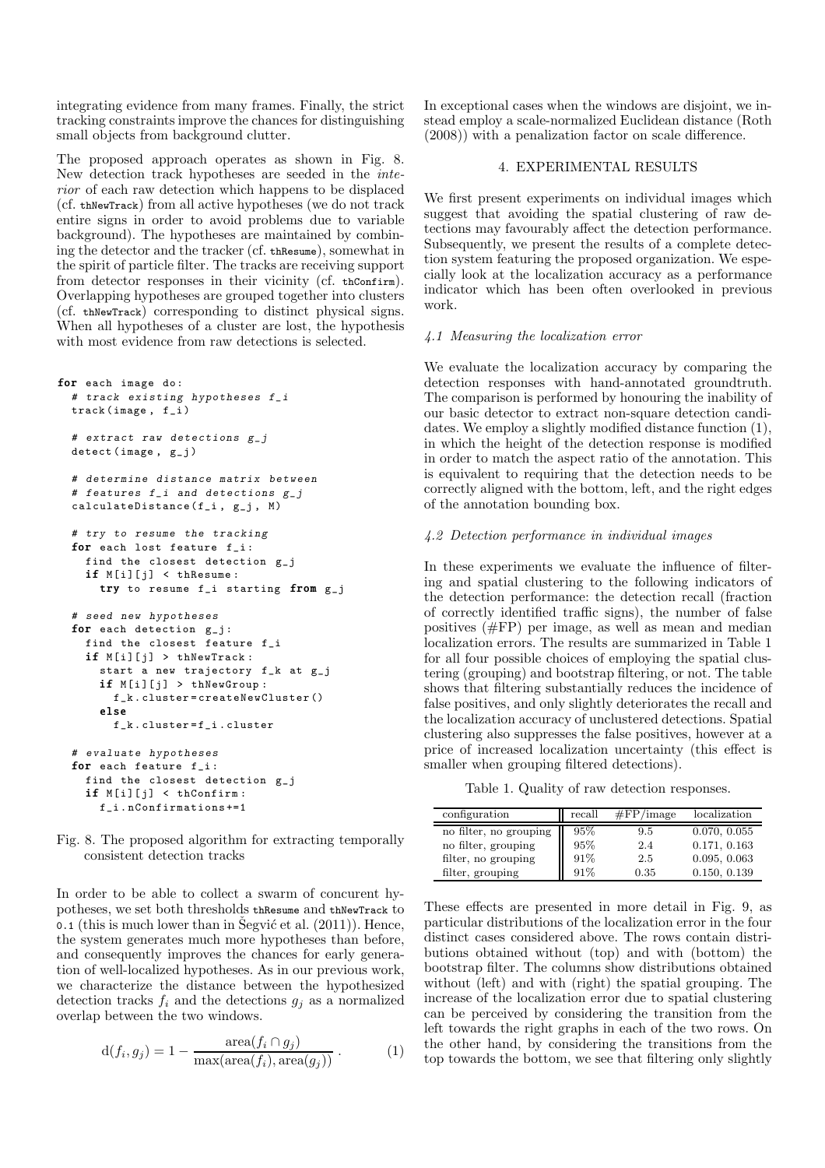integrating evidence from many frames. Finally, the strict tracking constraints improve the chances for distinguishing small objects from background clutter.

The proposed approach operates as shown in Fig. 8. New detection track hypotheses are seeded in the *interior* of each raw detection which happens to be displaced (cf. thNewTrack) from all active hypotheses (we do not track entire signs in order to avoid problems due to variable background). The hypotheses are maintained by combining the detector and the tracker (cf. thResume), somewhat in the spirit of particle filter. The tracks are receiving support from detector responses in their vicinity (cf. thConfirm). Overlapping hypotheses are grouped together into clusters (cf. thNewTrack) corresponding to distinct physical signs. When all hypotheses of a cluster are lost, the hypothesis with most evidence from raw detections is selected.

```
for each image do:
# track existing hypotheses f_i
track ( image , f_i )
# extract raw detections g_idetect (image, g_j)
# determine distance matrix between
# features f_i and detections g_jcalculated istance (f_i, g_j, M)# try to resume the tracking
for each lost feature f_i:
  find the closest detection g_j
  if M[i][j] < thResume:
    try to resume f_i starting from g_j
# seed new hypotheses
for each detection g_j:
  find the closest feature f_i
  if M[i][j] > thNewTrack:
    start a new trajectory f_k at g_j
    if M[i][j] > thNewGroup:
      f k. cluster = createNewCluster ()
    else
      f_k . cluster = f_i . cluster
# evaluate hypotheses
for each feature f_i:
  find the closest detection g_j
  if M[i][j] < thConfiguration:
    f_i . nConfirmations +=1
```
Fig. 8. The proposed algorithm for extracting temporally consistent detection tracks

In order to be able to collect a swarm of concurent hypotheses, we set both thresholds thResume and thNewTrack to  $\sim$  0.1 (this is much lower than in Segvić et al. (2011)). Hence, the system generates much more hypotheses than before, and consequently improves the chances for early generation of well-localized hypotheses. As in our previous work, we characterize the distance between the hypothesized detection tracks  $f_i$  and the detections  $g_j$  as a normalized overlap between the two windows.

$$
d(f_i, g_j) = 1 - \frac{\text{area}(f_i \cap g_j)}{\max(\text{area}(f_i), \text{area}(g_j))}.
$$
 (1)

In exceptional cases when the windows are disjoint, we instead employ a scale-normalized Euclidean distance (Roth (2008)) with a penalization factor on scale difference.

#### 4. EXPERIMENTAL RESULTS

We first present experiments on individual images which suggest that avoiding the spatial clustering of raw detections may favourably affect the detection performance. Subsequently, we present the results of a complete detection system featuring the proposed organization. We especially look at the localization accuracy as a performance indicator which has been often overlooked in previous work.

#### *4.1 Measuring the localization error*

We evaluate the localization accuracy by comparing the detection responses with hand-annotated groundtruth. The comparison is performed by honouring the inability of our basic detector to extract non-square detection candidates. We employ a slightly modified distance function (1), in which the height of the detection response is modified in order to match the aspect ratio of the annotation. This is equivalent to requiring that the detection needs to be correctly aligned with the bottom, left, and the right edges of the annotation bounding box.

#### *4.2 Detection performance in individual images*

In these experiments we evaluate the influence of filtering and spatial clustering to the following indicators of the detection performance: the detection recall (fraction of correctly identified traffic signs), the number of false positives (#FP) per image, as well as mean and median localization errors. The results are summarized in Table 1 for all four possible choices of employing the spatial clustering (grouping) and bootstrap filtering, or not. The table shows that filtering substantially reduces the incidence of false positives, and only slightly deteriorates the recall and the localization accuracy of unclustered detections. Spatial clustering also suppresses the false positives, however at a price of increased localization uncertainty (this effect is smaller when grouping filtered detections).

Table 1. Quality of raw detection responses.

| configuration          | recall | $\#FP$ /image | localization |
|------------------------|--------|---------------|--------------|
| no filter, no grouping | 95%    | 9.5           | 0.070, 0.055 |
| no filter, grouping    | 95%    | 2.4           | 0.171, 0.163 |
| filter, no grouping    | 91%    | 2.5           | 0.095, 0.063 |
| filter, grouping       | 91%    | 0.35          | 0.150, 0.139 |

These effects are presented in more detail in Fig. 9, as particular distributions of the localization error in the four distinct cases considered above. The rows contain distributions obtained without (top) and with (bottom) the bootstrap filter. The columns show distributions obtained without (left) and with (right) the spatial grouping. The increase of the localization error due to spatial clustering can be perceived by considering the transition from the left towards the right graphs in each of the two rows. On the other hand, by considering the transitions from the top towards the bottom, we see that filtering only slightly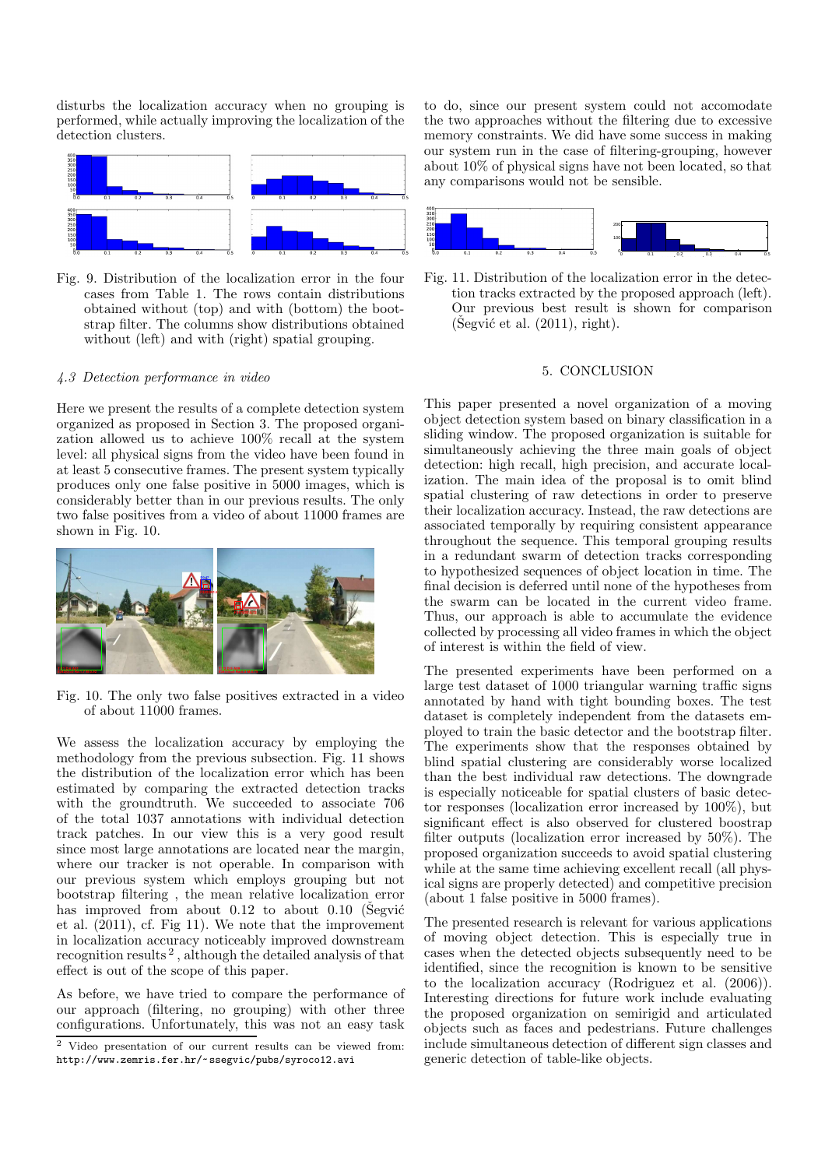disturbs the localization accuracy when no grouping is performed, while actually improving the localization of the detection clusters.



Fig. 9. Distribution of the localization error in the four cases from Table 1. The rows contain distributions obtained without (top) and with (bottom) the bootstrap filter. The columns show distributions obtained without (left) and with (right) spatial grouping.

#### *4.3 Detection performance in video*

Here we present the results of a complete detection system organized as proposed in Section 3. The proposed organization allowed us to achieve 100% recall at the system level: all physical signs from the video have been found in at least 5 consecutive frames. The present system typically produces only one false positive in 5000 images, which is considerably better than in our previous results. The only two false positives from a video of about 11000 frames are shown in Fig. 10.



Fig. 10. The only two false positives extracted in a video of about 11000 frames.

We assess the localization accuracy by employing the methodology from the previous subsection. Fig. 11 shows the distribution of the localization error which has been estimated by comparing the extracted detection tracks with the groundtruth. We succeeded to associate 706 of the total 1037 annotations with individual detection track patches. In our view this is a very good result since most large annotations are located near the margin, where our tracker is not operable. In comparison with our previous system which employs grouping but not bootstrap filtering , the mean relative localization error has improved from about  $0.12$  to about  $0.10$  (Segvić et al. (2011), cf. Fig 11). We note that the improvement in localization accuracy noticeably improved downstream recognition results<sup>2</sup>, although the detailed analysis of that effect is out of the scope of this paper.

As before, we have tried to compare the performance of our approach (filtering, no grouping) with other three configurations. Unfortunately, this was not an easy task

<sup>2</sup> Video presentation of our current results can be viewed from: http://www.zemris.fer.hr/~ssegvic/pubs/syroco12.avi

to do, since our present system could not accomodate the two approaches without the filtering due to excessive memory constraints. We did have some success in making our system run in the case of filtering-grouping, however about 10% of physical signs have not been located, so that any comparisons would not be sensible.



Fig. 11. Distribution of the localization error in the detection tracks extracted by the proposed approach (left). Our previous best result is shown for comparison  $(Segvi\acute{c}$  et al.  $(2011)$ , right).

### 5. CONCLUSION

This paper presented a novel organization of a moving object detection system based on binary classification in a sliding window. The proposed organization is suitable for simultaneously achieving the three main goals of object detection: high recall, high precision, and accurate localization. The main idea of the proposal is to omit blind spatial clustering of raw detections in order to preserve their localization accuracy. Instead, the raw detections are associated temporally by requiring consistent appearance throughout the sequence. This temporal grouping results in a redundant swarm of detection tracks corresponding to hypothesized sequences of object location in time. The final decision is deferred until none of the hypotheses from the swarm can be located in the current video frame. Thus, our approach is able to accumulate the evidence collected by processing all video frames in which the object of interest is within the field of view.

The presented experiments have been performed on a large test dataset of 1000 triangular warning traffic signs annotated by hand with tight bounding boxes. The test dataset is completely independent from the datasets employed to train the basic detector and the bootstrap filter. The experiments show that the responses obtained by blind spatial clustering are considerably worse localized than the best individual raw detections. The downgrade is especially noticeable for spatial clusters of basic detector responses (localization error increased by 100%), but significant effect is also observed for clustered boostrap filter outputs (localization error increased by 50%). The proposed organization succeeds to avoid spatial clustering while at the same time achieving excellent recall (all physical signs are properly detected) and competitive precision (about 1 false positive in 5000 frames).

The presented research is relevant for various applications of moving object detection. This is especially true in cases when the detected objects subsequently need to be identified, since the recognition is known to be sensitive to the localization accuracy (Rodriguez et al. (2006)). Interesting directions for future work include evaluating the proposed organization on semirigid and articulated objects such as faces and pedestrians. Future challenges include simultaneous detection of different sign classes and generic detection of table-like objects.